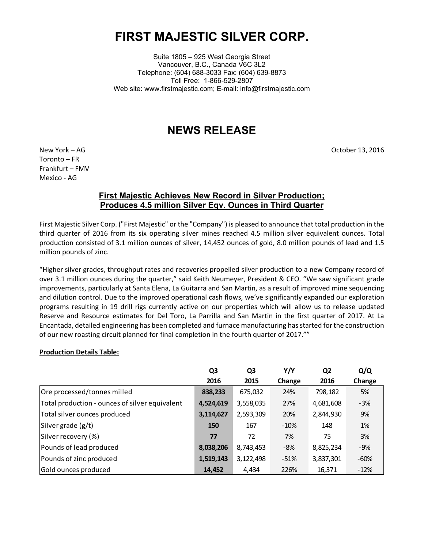# **FIRST MAJESTIC SILVER CORP.**

Suite 1805 – 925 West Georgia Street Vancouver, B.C., Canada V6C 3L2 Telephone: (604) 688-3033 Fax: (604) 639-8873 Toll Free: 1-866-529-2807 Web site: www.firstmajestic.com; E-mail: info@firstmajestic.com

# **NEWS RELEASE**

New York – AG October 13, 2016

Toronto – FR Frankfurt – FMV Mexico ‐ AG

# **First Majestic Achieves New Record in Silver Production; Produces 4.5 million Silver Eqv. Ounces in Third Quarter**

First Majestic Silver Corp. ("First Majestic" or the "Company") is pleased to announce that total production in the third quarter of 2016 from its six operating silver mines reached 4.5 million silver equivalent ounces. Total production consisted of 3.1 million ounces of silver, 14,452 ounces of gold, 8.0 million pounds of lead and 1.5 million pounds of zinc.

"Higher silver grades, throughput rates and recoveries propelled silver production to a new Company record of over 3.1 million ounces during the quarter," said Keith Neumeyer, President & CEO. "We saw significant grade improvements, particularly at Santa Elena, La Guitarra and San Martin, as a result of improved mine sequencing and dilution control. Due to the improved operational cash flows, we've significantly expanded our exploration programs resulting in 19 drill rigs currently active on our properties which will allow us to release updated Reserve and Resource estimates for Del Toro, La Parrilla and San Martin in the first quarter of 2017. At La Encantada, detailed engineering has been completed and furnace manufacturing has started for the construction of our new roasting circuit planned for final completion in the fourth quarter of 2017.""

## **Production Details Table:**

|                                                | Q <sub>3</sub> | Q <sub>3</sub> | Y/Y    | Q <sub>2</sub> | Q/Q    |
|------------------------------------------------|----------------|----------------|--------|----------------|--------|
|                                                | 2016           | 2015           | Change | 2016           | Change |
| Ore processed/tonnes milled                    | 838,233        | 675,032        | 24%    | 798,182        | 5%     |
| Total production - ounces of silver equivalent | 4,524,619      | 3,558,035      | 27%    | 4,681,608      | $-3%$  |
| Total silver ounces produced                   | 3,114,627      | 2,593,309      | 20%    | 2,844,930      | 9%     |
| Silver grade (g/t)                             | 150            | 167            | $-10%$ | 148            | 1%     |
| Silver recovery (%)                            | 77             | 72             | 7%     | 75             | 3%     |
| Pounds of lead produced                        | 8,038,206      | 8,743,453      | $-8%$  | 8,825,234      | $-9%$  |
| Pounds of zinc produced                        | 1,519,143      | 3,122,498      | $-51%$ | 3,837,301      | $-60%$ |
| Gold ounces produced                           | 14,452         | 4,434          | 226%   | 16,371         | $-12%$ |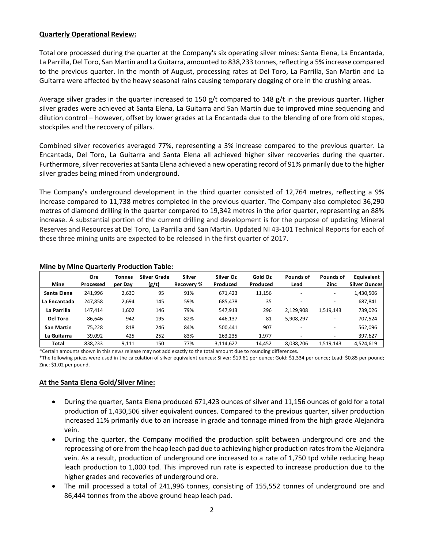#### **Quarterly Operational Review:**

Total ore processed during the quarter at the Company's six operating silver mines: Santa Elena, La Encantada, La Parrilla, Del Toro, San Martin and La Guitarra, amounted to 838,233 tonnes, reflecting a 5% increase compared to the previous quarter. In the month of August, processing rates at Del Toro, La Parrilla, San Martin and La Guitarra were affected by the heavy seasonal rains causing temporary clogging of ore in the crushing areas.

Average silver grades in the quarter increased to 150 g/t compared to 148 g/t in the previous quarter. Higher silver grades were achieved at Santa Elena, La Guitarra and San Martin due to improved mine sequencing and dilution control – however, offset by lower grades at La Encantada due to the blending of ore from old stopes, stockpiles and the recovery of pillars.

Combined silver recoveries averaged 77%, representing a 3% increase compared to the previous quarter. La Encantada, Del Toro, La Guitarra and Santa Elena all achieved higher silver recoveries during the quarter. Furthermore, silver recoveries at Santa Elena achieved a new operating record of 91% primarily due to the higher silver grades being mined from underground.

The Company's underground development in the third quarter consisted of 12,764 metres, reflecting a 9% increase compared to 11,738 metres completed in the previous quarter. The Company also completed 36,290 metres of diamond drilling in the quarter compared to 19,342 metres in the prior quarter, representing an 88% increase. A substantial portion of the current drilling and development is for the purpose of updating Mineral Reserves and Resources at Del Toro, La Parrilla and San Martin. Updated NI 43‐101 Technical Reports for each of these three mining units are expected to be released in the first quarter of 2017.

| Mine              | Ore<br>Processed | Tonnes<br>per Day | Silver Grade<br>(g/t) | Silver<br>Recovery % | Silver Oz<br>Produced | Gold Oz<br>Produced | Pounds of<br>Lead        | Pounds of<br>Zinc        | <b>Equivalent</b><br><b>Silver Ounces</b> |
|-------------------|------------------|-------------------|-----------------------|----------------------|-----------------------|---------------------|--------------------------|--------------------------|-------------------------------------------|
| Santa Elena       | 241,996          | 2,630             | 95                    | 91%                  | 671.423               | 11,156              |                          |                          | 1,430,506                                 |
| La Encantada      | 247,858          | 2,694             | 145                   | 59%                  | 685.478               | 35                  |                          |                          | 687,841                                   |
| La Parrilla       | 147.414          | 1,602             | 146                   | 79%                  | 547.913               | 296                 | 2,129,908                | 1,519,143                | 739,026                                   |
| <b>Del Toro</b>   | 86,646           | 942               | 195                   | 82%                  | 446,137               | 81                  | 5,908,297                |                          | 707,524                                   |
| <b>San Martin</b> | 75,228           | 818               | 246                   | 84%                  | 500.441               | 907                 |                          | $\overline{\phantom{0}}$ | 562,096                                   |
| La Guitarra       | 39,092           | 425               | 252                   | 83%                  | 263,235               | 1,977               | $\overline{\phantom{0}}$ | $\overline{\phantom{a}}$ | 397,627                                   |
| <b>Total</b>      | 838.233          | 9.111             | 150                   | 77%                  | 3,114,627             | 14.452              | 8,038,206                | 1,519,143                | 4,524,619                                 |

#### **Mine by Mine Quarterly Production Table:**

\*Certain amounts shown in this news release may not add exactly to the total amount due to rounding differences**.**  \*The following prices were used in the calculation of silver equivalent ounces: Silver: \$19.61 per ounce; Gold: \$1,334 per ounce; Lead: \$0.85 per pound; Zinc: \$1.02 per pound.

#### **At the Santa Elena Gold/Silver Mine:**

- During the quarter, Santa Elena produced 671,423 ounces of silver and 11,156 ounces of gold for a total production of 1,430,506 silver equivalent ounces. Compared to the previous quarter, silver production increased 11% primarily due to an increase in grade and tonnage mined from the high grade Alejandra vein.
- During the quarter, the Company modified the production split between underground ore and the reprocessing of ore from the heap leach pad due to achieving higher production rates from the Alejandra vein. As a result, production of underground ore increased to a rate of 1,750 tpd while reducing heap leach production to 1,000 tpd. This improved run rate is expected to increase production due to the higher grades and recoveries of underground ore.
- The mill processed a total of 241,996 tonnes, consisting of 155,552 tonnes of underground ore and 86,444 tonnes from the above ground heap leach pad.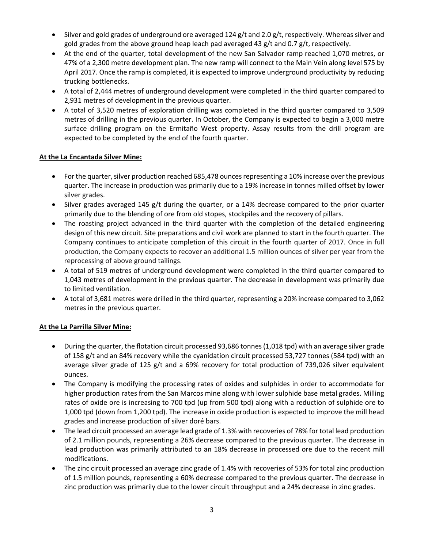- Silver and gold grades of underground ore averaged 124 g/t and 2.0 g/t, respectively. Whereas silver and gold grades from the above ground heap leach pad averaged 43  $g/t$  and 0.7  $g/t$ , respectively.
- At the end of the quarter, total development of the new San Salvador ramp reached 1,070 metres, or 47% of a 2,300 metre development plan. The new ramp will connect to the Main Vein along level 575 by April 2017. Once the ramp is completed, it is expected to improve underground productivity by reducing trucking bottlenecks.
- A total of 2,444 metres of underground development were completed in the third quarter compared to 2,931 metres of development in the previous quarter.
- A total of 3,520 metres of exploration drilling was completed in the third quarter compared to 3,509 metres of drilling in the previous quarter. In October, the Company is expected to begin a 3,000 metre surface drilling program on the Ermitaño West property. Assay results from the drill program are expected to be completed by the end of the fourth quarter.

#### **At the La Encantada Silver Mine:**

- For the quarter, silver production reached 685,478 ounces representing a 10% increase over the previous quarter. The increase in production was primarily due to a 19% increase in tonnes milled offset by lower silver grades.
- Silver grades averaged 145 g/t during the quarter, or a 14% decrease compared to the prior quarter primarily due to the blending of ore from old stopes, stockpiles and the recovery of pillars.
- The roasting project advanced in the third quarter with the completion of the detailed engineering design of this new circuit. Site preparations and civil work are planned to start in the fourth quarter. The Company continues to anticipate completion of this circuit in the fourth quarter of 2017. Once in full production, the Company expects to recover an additional 1.5 million ounces of silver per year from the reprocessing of above ground tailings.
- A total of 519 metres of underground development were completed in the third quarter compared to 1,043 metres of development in the previous quarter. The decrease in development was primarily due to limited ventilation.
- A total of 3,681 metres were drilled in the third quarter, representing a 20% increase compared to 3,062 metres in the previous quarter.

## **At the La Parrilla Silver Mine:**

- During the quarter, the flotation circuit processed 93,686 tonnes (1,018 tpd) with an average silver grade of 158 g/t and an 84% recovery while the cyanidation circuit processed 53,727 tonnes (584 tpd) with an average silver grade of 125 g/t and a 69% recovery for total production of 739,026 silver equivalent ounces.
- The Company is modifying the processing rates of oxides and sulphides in order to accommodate for higher production rates from the San Marcos mine along with lower sulphide base metal grades. Milling rates of oxide ore is increasing to 700 tpd (up from 500 tpd) along with a reduction of sulphide ore to 1,000 tpd (down from 1,200 tpd). The increase in oxide production is expected to improve the mill head grades and increase production of silver doré bars.
- The lead circuit processed an average lead grade of 1.3% with recoveries of 78% for total lead production of 2.1 million pounds, representing a 26% decrease compared to the previous quarter. The decrease in lead production was primarily attributed to an 18% decrease in processed ore due to the recent mill modifications.
- The zinc circuit processed an average zinc grade of 1.4% with recoveries of 53% for total zinc production of 1.5 million pounds, representing a 60% decrease compared to the previous quarter. The decrease in zinc production was primarily due to the lower circuit throughput and a 24% decrease in zinc grades.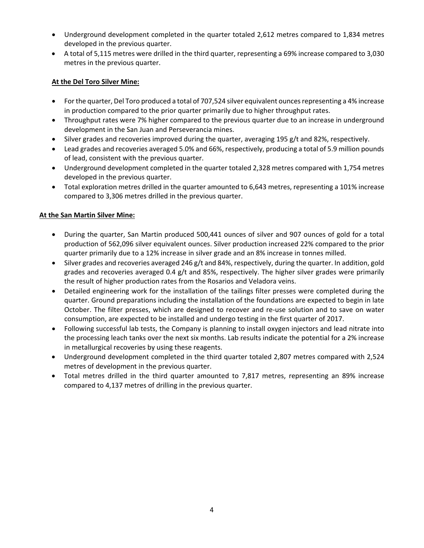- Underground development completed in the quarter totaled 2,612 metres compared to 1,834 metres developed in the previous quarter.
- A total of 5,115 metres were drilled in the third quarter, representing a 69% increase compared to 3,030 metres in the previous quarter.

# **At the Del Toro Silver Mine:**

- For the quarter, Del Toro produced a total of 707,524 silver equivalent ounces representing a 4% increase in production compared to the prior quarter primarily due to higher throughput rates.
- Throughput rates were 7% higher compared to the previous quarter due to an increase in underground development in the San Juan and Perseverancia mines.
- Silver grades and recoveries improved during the quarter, averaging 195 g/t and 82%, respectively.
- Lead grades and recoveries averaged 5.0% and 66%, respectively, producing a total of 5.9 million pounds of lead, consistent with the previous quarter.
- Underground development completed in the quarter totaled 2,328 metres compared with 1,754 metres developed in the previous quarter.
- Total exploration metres drilled in the quarter amounted to 6,643 metres, representing a 101% increase compared to 3,306 metres drilled in the previous quarter.

# **At the San Martin Silver Mine:**

- During the quarter, San Martin produced 500,441 ounces of silver and 907 ounces of gold for a total production of 562,096 silver equivalent ounces. Silver production increased 22% compared to the prior quarter primarily due to a 12% increase in silver grade and an 8% increase in tonnes milled.
- Silver grades and recoveries averaged 246 g/t and 84%, respectively, during the quarter. In addition, gold grades and recoveries averaged 0.4 g/t and 85%, respectively. The higher silver grades were primarily the result of higher production rates from the Rosarios and Veladora veins.
- Detailed engineering work for the installation of the tailings filter presses were completed during the quarter. Ground preparations including the installation of the foundations are expected to begin in late October. The filter presses, which are designed to recover and re-use solution and to save on water consumption, are expected to be installed and undergo testing in the first quarter of 2017.
- Following successful lab tests, the Company is planning to install oxygen injectors and lead nitrate into the processing leach tanks over the next six months. Lab results indicate the potential for a 2% increase in metallurgical recoveries by using these reagents.
- Underground development completed in the third quarter totaled 2,807 metres compared with 2,524 metres of development in the previous quarter.
- Total metres drilled in the third quarter amounted to 7,817 metres, representing an 89% increase compared to 4,137 metres of drilling in the previous quarter.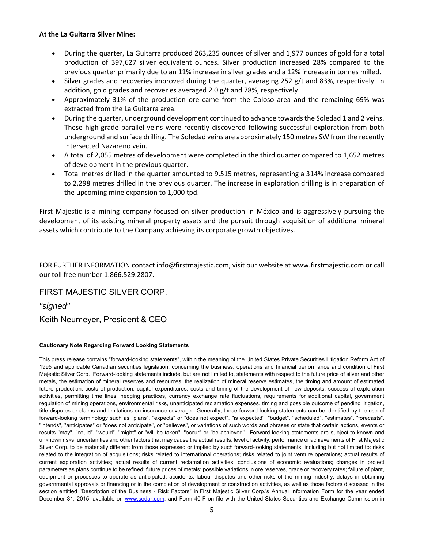#### **At the La Guitarra Silver Mine:**

- During the quarter, La Guitarra produced 263,235 ounces of silver and 1,977 ounces of gold for a total production of 397,627 silver equivalent ounces. Silver production increased 28% compared to the previous quarter primarily due to an 11% increase in silver grades and a 12% increase in tonnes milled.
- Silver grades and recoveries improved during the quarter, averaging 252 g/t and 83%, respectively. In addition, gold grades and recoveries averaged 2.0 g/t and 78%, respectively.
- Approximately 31% of the production ore came from the Coloso area and the remaining 69% was extracted from the La Guitarra area.
- During the quarter, underground development continued to advance towards the Soledad 1 and 2 veins. These high‐grade parallel veins were recently discovered following successful exploration from both underground and surface drilling. The Soledad veins are approximately 150 metres SW from the recently intersected Nazareno vein.
- A total of 2,055 metres of development were completed in the third quarter compared to 1,652 metres of development in the previous quarter.
- Total metres drilled in the quarter amounted to 9,515 metres, representing a 314% increase compared to 2,298 metres drilled in the previous quarter. The increase in exploration drilling is in preparation of the upcoming mine expansion to 1,000 tpd.

First Majestic is a mining company focused on silver production in México and is aggressively pursuing the development of its existing mineral property assets and the pursuit through acquisition of additional mineral assets which contribute to the Company achieving its corporate growth objectives.

FOR FURTHER INFORMATION contact info@firstmajestic.com, visit our website at www.firstmajestic.com or call our toll free number 1.866.529.2807.

FIRST MAJESTIC SILVER CORP. *"signed"* 

Keith Neumeyer, President & CEO

#### **Cautionary Note Regarding Forward Looking Statements**

This press release contains "forward-looking statements", within the meaning of the United States Private Securities Litigation Reform Act of 1995 and applicable Canadian securities legislation, concerning the business, operations and financial performance and condition of First Majestic Silver Corp. Forward-looking statements include, but are not limited to, statements with respect to the future price of silver and other metals, the estimation of mineral reserves and resources, the realization of mineral reserve estimates, the timing and amount of estimated future production, costs of production, capital expenditures, costs and timing of the development of new deposits, success of exploration activities, permitting time lines, hedging practices, currency exchange rate fluctuations, requirements for additional capital, government regulation of mining operations, environmental risks, unanticipated reclamation expenses, timing and possible outcome of pending litigation, title disputes or claims and limitations on insurance coverage. Generally, these forward-looking statements can be identified by the use of forward-looking terminology such as "plans", "expects" or "does not expect", "is expected", "budget", "scheduled", "estimates", "forecasts", "intends", "anticipates" or "does not anticipate", or "believes", or variations of such words and phrases or state that certain actions, events or results "may", "could", "would", "might" or "will be taken", "occur" or "be achieved". Forward-looking statements are subject to known and unknown risks, uncertainties and other factors that may cause the actual results, level of activity, performance or achievements of First Majestic Silver Corp. to be materially different from those expressed or implied by such forward-looking statements, including but not limited to: risks related to the integration of acquisitions; risks related to international operations; risks related to joint venture operations; actual results of current exploration activities; actual results of current reclamation activities; conclusions of economic evaluations; changes in project parameters as plans continue to be refined; future prices of metals; possible variations in ore reserves, grade or recovery rates; failure of plant, equipment or processes to operate as anticipated; accidents, labour disputes and other risks of the mining industry; delays in obtaining governmental approvals or financing or in the completion of development or construction activities, as well as those factors discussed in the section entitled "Description of the Business - Risk Factors" in First Majestic Silver Corp.'s Annual Information Form for the year ended December 31, 2015, available on www.sedar.com, and Form 40-F on file with the United States Securities and Exchange Commission in